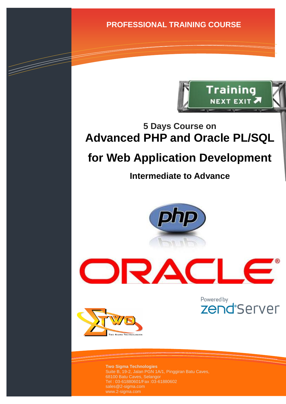**PROFESSIONAL TRAINING COURSE**



## **5 Days Course on Advanced PHP and Oracle PL/SQL**

# **for Web Application Development**

## **Intermediate to Advance**

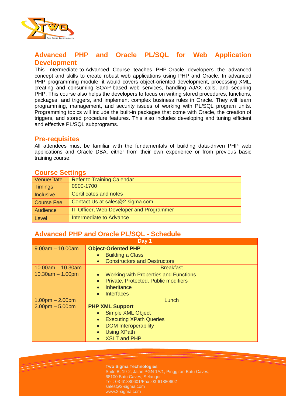

#### **Advanced PHP and Oracle PL/SQL for Web Application Development**

This Intermediate-to-Advanced Course teaches PHP-Oracle developers the advanced concept and skills to create robust web applications using PHP and Oracle. In advanced PHP programming module, it would covers object-oriented development, processing XML, creating and consuming SOAP-based web services, handling AJAX calls, and securing PHP. This course also helps the developers to focus on writing stored procedures, functions, packages, and triggers, and implement complex business rules in Oracle. They will learn programming, management, and security issues of working with PL/SQL program units. Programming topics will include the built-in packages that come with Oracle, the creation of triggers, and stored procedure features. This also includes developing and tuning efficient and effective PL/SQL subprograms.

#### **Pre-requisites**

All attendees must be familiar with the fundamentals of building data-driven PHP web applications and Oracle DBA, either from their own experience or from previous basic training course.

#### **Course Settings**

| Venue/Date        | <b>Refer to Training Calendar</b>        |  |
|-------------------|------------------------------------------|--|
| <b>Timings</b>    | 0900-1700                                |  |
| <b>Inclusive</b>  | Certificates and notes                   |  |
| <b>Course Fee</b> | Contact Us at sales@2-sigma.com          |  |
| Audience          | IT Officer, Web Developer and Programmer |  |
| Level             | Intermediate to Advance                  |  |

#### **Advanced PHP and Oracle PL/SQL - Schedule**

| Day 1               |                                                           |  |
|---------------------|-----------------------------------------------------------|--|
| $9.00am - 10.00am$  | <b>Object-Oriented PHP</b>                                |  |
|                     | <b>Building a Class</b>                                   |  |
|                     | <b>Constructors and Destructors</b><br>$\bullet$          |  |
| $10.00am - 10.30am$ | <b>Breakfast</b>                                          |  |
| $10.30am - 1.00pm$  | <b>Working with Properties and Functions</b><br>$\bullet$ |  |
|                     | Private, Protected, Public modifiers<br>$\bullet$         |  |
|                     | Inheritance                                               |  |
|                     | <b>Interfaces</b><br>$\bullet$                            |  |
| $1.00pm - 2.00pm$   | Lunch                                                     |  |
| $2.00pm - 5.00pm$   | <b>PHP XML Support</b>                                    |  |
|                     | Simple XML Object<br>$\bullet$                            |  |
|                     | <b>Executing XPath Queries</b><br>$\bullet$               |  |
|                     | <b>DOM Interoperability</b>                               |  |
|                     | <b>Using XPath</b>                                        |  |
|                     | <b>XSLT and PHP</b>                                       |  |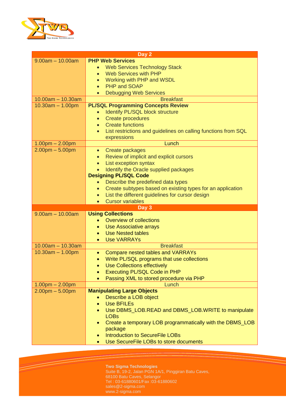

| Day 2               |                                                                                  |  |
|---------------------|----------------------------------------------------------------------------------|--|
| $9.00am - 10.00am$  | <b>PHP Web Services</b>                                                          |  |
|                     | <b>Web Services Technology Stack</b>                                             |  |
|                     | <b>Web Services with PHP</b>                                                     |  |
|                     | Working with PHP and WSDL<br>$\bullet$                                           |  |
|                     | PHP and SOAP<br>$\bullet$                                                        |  |
|                     | <b>Debugging Web Services</b>                                                    |  |
| $10.00am - 10.30am$ | <b>Breakfast</b>                                                                 |  |
| $10.30am - 1.00pm$  | <b>PL/SQL Programming Concepts Review</b>                                        |  |
|                     | Identify PL/SQL block structure                                                  |  |
|                     | <b>Create procedures</b><br>$\bullet$                                            |  |
|                     | <b>Create functions</b><br>$\bullet$                                             |  |
|                     | List restrictions and guidelines on calling functions from SQL                   |  |
|                     | expressions                                                                      |  |
| $1.00pm - 2.00pm$   | Lunch                                                                            |  |
| $2.00pm - 5.00pm$   | Create packages<br>$\bullet$                                                     |  |
|                     | Review of implicit and explicit cursors                                          |  |
|                     | List exception syntax                                                            |  |
|                     | Identify the Oracle supplied packages                                            |  |
|                     | <b>Designing PL/SQL Code</b>                                                     |  |
|                     |                                                                                  |  |
|                     | Describe the predefined data types<br>$\bullet$                                  |  |
|                     | Create subtypes based on existing types for an application<br>$\bullet$          |  |
|                     | List the different guidelines for cursor design<br>$\bullet$                     |  |
|                     | <b>Cursor variables</b>                                                          |  |
| $9.00am - 10.00am$  | Day 3<br><b>Using Collections</b>                                                |  |
|                     | Overview of collections                                                          |  |
|                     |                                                                                  |  |
|                     | Use Associative arrays                                                           |  |
|                     | <b>Use Nested tables</b>                                                         |  |
|                     | <b>Use VARRAYs</b>                                                               |  |
| $10.00am - 10.30am$ | <b>Breakfast</b>                                                                 |  |
| $10.30am - 1.00pm$  | Compare nested tables and VARRAYs<br>$\bullet$                                   |  |
|                     | Write PL/SQL programs that use collections                                       |  |
|                     | Use Collections effectively                                                      |  |
|                     | Executing PL/SQL Code in PHP                                                     |  |
|                     | Passing XML to stored procedure via PHP                                          |  |
| $1.00pm - 2.00pm$   | Lunch                                                                            |  |
| $2.00pm - 5.00pm$   | <b>Manipulating Large Objects</b>                                                |  |
|                     | Describe a LOB object                                                            |  |
|                     | <b>Use BFILEs</b>                                                                |  |
|                     |                                                                                  |  |
|                     | Use DBMS_LOB.READ and DBMS_LOB.WRITE to manipulate                               |  |
|                     | <b>LOBs</b>                                                                      |  |
|                     | Create a temporary LOB programmatically with the DBMS_LOB                        |  |
|                     | package                                                                          |  |
|                     | <b>Introduction to SecureFile LOBs</b><br>Use SecureFile LOBs to store documents |  |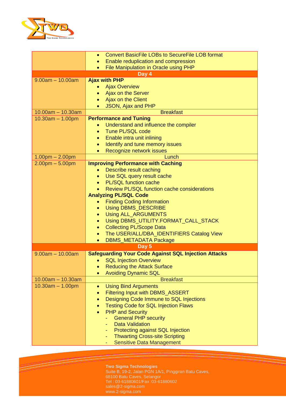

|                                           | <b>Convert BasicFile LOBs to SecureFile LOB format</b><br>$\bullet$                 |
|-------------------------------------------|-------------------------------------------------------------------------------------|
|                                           | Enable reduplication and compression                                                |
|                                           | File Manipulation in Oracle using PHP<br>$\bullet$                                  |
|                                           | Day 4                                                                               |
| $9.00am - 10.00am$                        | <b>Ajax with PHP</b>                                                                |
|                                           | <b>Ajax Overview</b>                                                                |
|                                           | Ajax on the Server                                                                  |
|                                           | Ajax on the Client<br>$\bullet$                                                     |
|                                           | JSON, Ajax and PHP                                                                  |
| $10.00am - 10.30am$                       | <b>Breakfast</b>                                                                    |
| $10.30am - 1.00pm$                        | <b>Performance and Tuning</b>                                                       |
|                                           | Understand and influence the compiler<br><b>Tune PL/SQL code</b><br>$\bullet$       |
|                                           | Enable intra unit inlining<br>$\bullet$                                             |
|                                           | Identify and tune memory issues<br>$\bullet$                                        |
|                                           | Recognize network issues                                                            |
| $1.00pm - 2.00pm$                         | Lunch                                                                               |
| $2.00pm - 5.00pm$                         | <b>Improving Performance with Caching</b>                                           |
|                                           | Describe result caching<br>$\bullet$                                                |
|                                           | Use SQL query result cache<br>$\bullet$                                             |
|                                           | <b>PL/SQL function cache</b>                                                        |
|                                           | Review PL/SQL function cache considerations                                         |
|                                           | <b>Analyzing PL/SQL Code</b>                                                        |
|                                           | <b>Finding Coding Information</b><br>$\bullet$                                      |
|                                           | <b>Using DBMS_DESCRIBE</b><br>$\bullet$                                             |
|                                           | <b>Using ALL_ARGUMENTS</b><br>$\bullet$                                             |
|                                           | Using DBMS_UTILITY.FORMAT_CALL_STACK<br>$\bullet$                                   |
|                                           | <b>Collecting PL/Scope Data</b><br>$\bullet$                                        |
|                                           | The USER/ALL/DBA_IDENTIFIERS Catalog View<br>$\bullet$                              |
|                                           | <b>DBMS_METADATA Package</b><br>$\bullet$                                           |
|                                           | Day 5                                                                               |
| $9.00am - 10.00am$                        | <b>Safeguarding Your Code Against SQL Injection Attacks</b>                         |
|                                           | <b>SQL Injection Overview</b>                                                       |
|                                           | <b>Reducing the Attack Surface</b>                                                  |
|                                           | <b>Avoiding Dynamic SQL</b>                                                         |
| $10.00am - 10.30am$<br>$10.30am - 1.00pm$ | <b>Breakfast</b>                                                                    |
|                                           | <b>Using Bind Arguments</b><br>$\bullet$<br><b>Filtering Input with DBMS ASSERT</b> |
|                                           | $\bullet$<br>Designing Code Immune to SQL Injections                                |
|                                           | <b>Testing Code for SQL Injection Flaws</b>                                         |
|                                           | <b>PHP and Security</b>                                                             |
|                                           | <b>General PHP security</b>                                                         |
|                                           | <b>Data Validation</b>                                                              |
|                                           | Protecting against SQL Injection                                                    |
|                                           | <b>Thwarting Cross-site Scripting</b>                                               |
|                                           | <b>Sensitive Data Management</b>                                                    |